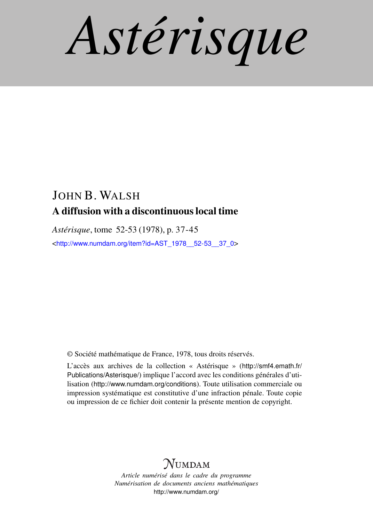*Astérisque*

## JOHN B. WALSH A diffusion with a discontinuous local time

*Astérisque*, tome 52-53 (1978), p. 37-45 <[http://www.numdam.org/item?id=AST\\_1978\\_\\_52-53\\_\\_37\\_0](http://www.numdam.org/item?id=AST_1978__52-53__37_0)>

© Société mathématique de France, 1978, tous droits réservés.

L'accès aux archives de la collection « Astérisque » ([http://smf4.emath.fr/](http://smf4.emath.fr/Publications/Asterisque/) [Publications/Asterisque/](http://smf4.emath.fr/Publications/Asterisque/)) implique l'accord avec les conditions générales d'utilisation (<http://www.numdam.org/conditions>). Toute utilisation commerciale ou impression systématique est constitutive d'une infraction pénale. Toute copie ou impression de ce fichier doit contenir la présente mention de copyright.

## **NUMDAM**

*Article numérisé dans le cadre du programme Numérisation de documents anciens mathématiques* <http://www.numdam.org/>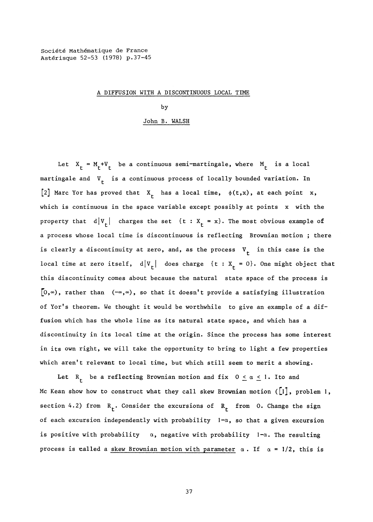## **A DIFFUSION WITH A DISCONTINUOUS LOCAL TIME**

**by** 

## **John B. WALSH**

Let  $X_t = M_t + V_t$  be a continuous semi-martingale, where  $M_t$  is a local martingale and  $V<sub>f</sub>$  is a continuous process of locally bounded variation. In [2] Marc Yor has proved that  $X_t$  has a local time,  $\phi(t,x)$ , at each point x, **which is continuous in the space variable except possibly at points x with the property** that  $d|V_t|$  charges the set  $\{t : X_t = x\}$ . The most obvious example of **a process whose local time is discontinuous is reflecting Brownian motion ; there**  is clearly a discontinuity at zero, and, as the process  $V<sub>r</sub>$  in this case is the local time at zero itself,  $d|V_{\tau}|$  does charge {t :  $X_{\tau} = 0$ }. One might object that **this discontinuity comes about because the natural state space of the process is**  [O,∞), rather than (-∞,∞), so that it doesn't provide a satisfying illustration **of Yorfs theorem. We thought it would be worthwhile to give an example of a diffusion which has the whole line as its natural state space, and which has a discontinuity in its local time at the origin. Since the process has some interest in its own right, we will take the opportunity to bring to light a few properties which aren't relevant to local time, but which still seem to merit a showing.** 

Let  $R_f$  be a reflecting Brownian motion and fix  $0 \le \alpha \le 1$ . Ito and **Mc Kean show how to construct what they call skew Brownian motion ([l], problem** 1, **section** 4.2) from  $R_f$ . Consider the excursions of  $R_f$  from 0. Change the sign **of each excursion independently with probability** 1**-a, so that a given excursion**  is positive with probability  $\alpha$ , negative with probability  $1-\alpha$ . The resulting process is called a **skew Brownian motion with parameter**  $\alpha$ . If  $\alpha = 1/2$ , this is

**37**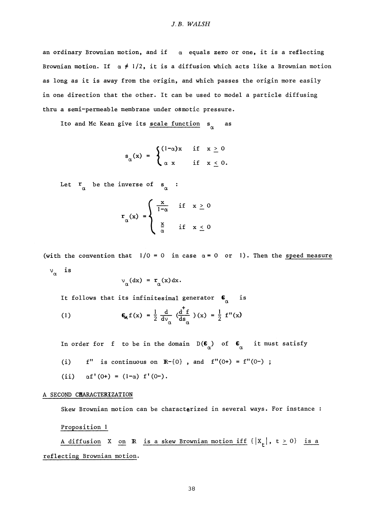an ordinary Brownian motion, and if  $\alpha$  equals zero or one, it is a reflecting Brownian motion. If  $\alpha \neq 1/2$ , it is a diffusion which acts like a Brownian motion **as long as it is away from the origin, and which passes the origin more easily in one direction that the other. It can be used to model a particle diffusing thru a semi-permeable membrane under osmotic pressure.** 

Ito and Mc Kean give its scale function s<sub>x</sub> as

$$
s_{\alpha}(x) = \begin{cases} (1-\alpha)x & \text{if } x \geq 0 \\ \alpha x & \text{if } x \leq 0. \end{cases}
$$

Let  $\int_{\alpha}^{\alpha}$  be the inverse of  $s_{\alpha}$  :

$$
\mathbf{r}_{\alpha}(\mathbf{x}) = \begin{cases} \frac{\mathbf{x}}{1-\alpha} & \text{if } \mathbf{x} \ge 0 \\ \frac{\mathbf{x}}{\alpha} & \text{if } \mathbf{x} \le 0 \end{cases}
$$

(with the convention that  $1/0 = 0$  in case  $\alpha = 0$  or 1). Then the speed measure  $v_{\alpha}$  is

$$
\nu_{\alpha}(\mathrm{d} x) = r_{\alpha}(x) \mathrm{d} x.
$$

It follows that its infinitesimal generator  $\mathbf{C}_{\alpha}$  is

(1) 
$$
\mathbf{E}_{\mathbf{g}} f(x) = \frac{1}{2} \frac{d}{dv_{\alpha}} \left( \frac{d^{\dagger} f}{ds_{\alpha}} \right) (x) = \frac{1}{2} f''(x)
$$

In order for f to be in the domain  $D(\mathbf{C}_{\alpha})$  of  $\mathbf{C}_{\alpha}$  it must satisfy

- $f''$  is continuous on  $\mathbb{R}^{-}{0}$ , and  $f''(0+) = f''(0-)$ ;  $(i)$
- (ii)  $\alpha f' (0+) = (1-\alpha) f'(0-)$ .

### **A SECOND CHARACTERIZATION**

**Skew Brownian motion can be characterized in several ways. For instance :** 

**Proposition 1** 

A diffusion X on R is a skew Brownian motion iff  $\{ |x_t|, t \ge 0 \}$  is a **reflecting Brownian motion.**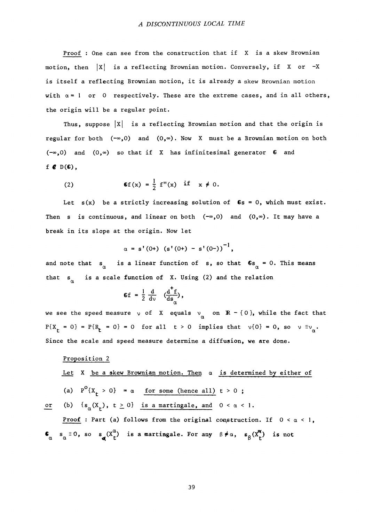**Proof : One can see from the construction that if X is a skew Brownian motion, then** |x| **is a reflecting Brownian motion. Conversely, if X or -X is itself a reflecting Brownian motion, it is already a skew Brownian motion**  with  $\alpha = 1$  or 0 respectively. These are the extreme cases, and in all others, **the origin will be a regular point.** 

**Thus, suppose** |x| **is a reflecting Brownian motion and that the origin is regular for both**  $(-\infty,0)$  and  $(0,\infty)$ . Now X must be a Brownian motion on both (-°°,0) **and (О,») so that if X has infinitesimal generator G and**   $f \in D(G)$ ,

(2) 
$$
\mathbf{C}f(x) = \frac{1}{2} f''(x) \quad \text{if} \quad x \neq 0.
$$

**Let s(x) be a strictly increasing solution of Gs =** 0, **which must exist.**  Then s is continuous, and linear on both  $(-\infty,0)$  and  $(0,\infty)$ . It may have a **break in its slope at the origin. Now let** 

$$
\alpha = s'(0+)(s'(0+)-s'(0-))^{-1},
$$

and note that  $s_{\alpha}$  is a linear function of  $s$ , so that  $\mathbf{G}_{\alpha} = 0$ . This means **that s^ is a scale function of X. Using** (2) **and the relation** 

$$
\mathbf{G} \mathbf{f} = \frac{1}{2} \frac{d}{dv} \left( \frac{d^{\mathsf{T}} \mathbf{f}}{ds_{\alpha}} \right),
$$

we see the speed measure  $\vee$  of X equals  $\vee$  on **R** - {0}, while the fact that  $P\{X_t = 0\} = P\{R_t = 0\} = 0$  for all  $t > 0$  implies that  $v\{0\} = 0$ , so  $v = v^0$ . **Since the scale and speed measure determine a diffusion, we are done.** 

# **Proposition** 2

**Let X be a skew Brownian motion. Then a is determined by either of** 

(a) 
$$
P^{0}\lbrace X_t > 0 \rbrace = \alpha
$$
 for some (hence all)  $t > 0$ ;

or (b)  $\{s_\alpha(X_+)$ ,  $t \ge 0\}$  is a martingale, and  $0 < \alpha < 1$ .

**Proof : Part (a) follows from the original construction. If** 0 **< a <** 1,  $\int_{\alpha}^{\alpha} s_{\alpha} \equiv 0$ , so  $s_{\alpha} (X_{t}^{\alpha})$  is a martingale. For any  $\beta \neq \alpha$ ,  $s_{\beta} (X_{t}^{\alpha})$  is not **CX** *CL <Ц* **t P t**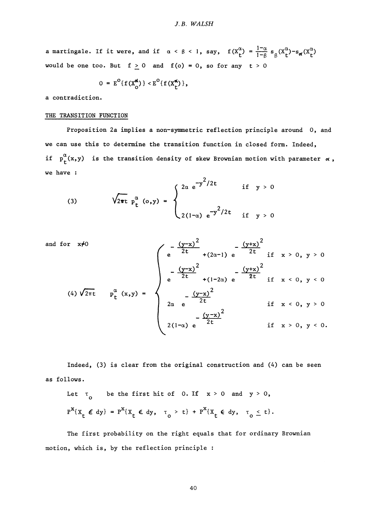**a** martingale. If it were, and if  $\alpha < \beta < 1$ , say,  $f(X^{\alpha}_{t}) = \frac{1-\alpha}{1-\beta} s_{\beta}(X^{\alpha}_{t})-s_{\alpha}(X^{\alpha}_{t})$ **would be one too. But**  $f \ge 0$  **and**  $f(o) = 0$ **, so for any**  $t > 0$ 

$$
0 = E^{O}\{f(X_{O}^{\alpha})\} \lt E^{O}\{f(X_{r}^{\alpha})\},
$$

**a contradiction.** 

## **THE TRANSITION FUNCTION**

**Proposition 2a implies a non-symmetric reflection principle around 0, and we can use this to determine the transition function in closed form. Indeed, if**  $p_f^{\alpha}(x,y)$  is the transition density of skew Brownian motion with parameter  $\alpha$ , **we have :** 

(3) 
$$
\sqrt{2\pi t} p_t^{\alpha} (0, y) = \begin{cases} 2\alpha e^{-y^2/2t} & \text{if } y > 0 \\ 2(1-\alpha) e^{-y^2/2t} & \text{if } y > 0 \end{cases}
$$

and for 
$$
x\neq0
$$
  
\n
$$
\begin{pmatrix}\n e^{-\frac{(y-x)^{2}}{2t}} + (2\alpha-1) e^{-\frac{(y+x)^{2}}{2t}} \text{ if } x > 0, y > 0 \\
e^{-\frac{(y-x)^{2}}{2t}} + (1-2\alpha) e^{-\frac{(y+x)^{2}}{2t}} \text{ if } x < 0, y < 0\n\end{pmatrix}
$$
\n
$$
\begin{pmatrix}\n e^{-\frac{(y-x)^{2}}{2t}} + (2\alpha-1) e^{-\frac{(y+x)^{2}}{2t}} \text{ if } x > 0, y > 0 \\
e^{-\frac{(y-x)^{2}}{2t}} \text{ if } x < 0, y > 0 \\
2\alpha e^{-\frac{(y-x)^{2}}{2t}} \text{ if } x > 0, y > 0\n\end{pmatrix}
$$

**Indeed,** (3) **is clear from the original construction and** (4) **can be seen as follows.** 

Let 
$$
\tau_0
$$
 be the first hit of 0. If  $x > 0$  and  $y > 0$ ,  

$$
P^{X}\left\{\chi_{t} \in dy\right\} = P^{X}\left\{\chi_{t} \in dy, \quad \tau_0 > t\right\} + P^{X}\left\{\chi_{t} \in dy, \quad \tau_0 \le t\right\}.
$$

**The first probability on the right equals that for ordinary Brownian motion, which is, by the reflection principle :**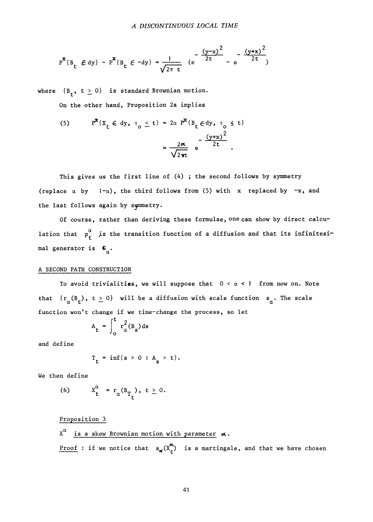$$
P^{x} \{B_{t} \in dy\} - P^{x} \{B_{t} \in -dy\} = \frac{1}{\sqrt{2\pi t}} \left(e^{-\frac{(y-x)^{2}}{2t}} - e^{-\frac{(y+x)^{2}}{2t}}\right)
$$

where  ${B_+, t \ge 0}$  is standard Brownian motion.

**On the other hand, Proposition** 2a **implies** 

(5) 
$$
P^{\mathbf{x}}\{X_t \in dy, \tau_0 \le t\} = 2\alpha P^{\mathbf{x}}\{B_t \in dy, \tau_0 \le t\}
$$
  

$$
= \frac{2\alpha}{\sqrt{2\pi t}} e^{-\frac{(y+x)^2}{2t}}.
$$

**This gives us the first line of (4) ; the second follows by symmetry**  (replace  $\alpha$  by  $1-\alpha$ ), the third follows from (5) with x replaced by  $-x$ , and **the last follows again by synmetry.** 

**Of course, rather than deriving these formulae, one can show by direct calcu**lation that  $p_t^{\alpha}$  is the transition function of a diffusion and that its infinitesi**mal generator is** 

### **A SECOND PATH CONSTRUCTION**

**To avoid trivialities, we will suppose that 0 < a <** 1 **from now on. Note**  that  $\{r_{\alpha}(\mathbf{B}_r), t \geq 0\}$  will be a diffusion with scale function  $\mathbf{s}_{\alpha}$ . The scale **function won't change if we time-change the process, so let** 

$$
A_t = \int_0^t r_\alpha^2(B_s) ds
$$

**and define** 

$$
T_t = inf\{s > 0 : A_s > t\}.
$$

**We then define** 

(6) 
$$
X_t^{\alpha} = r_{\alpha}(B_{T_t}), t \ge 0.
$$

**Proposition 3** 

$$
X^{\alpha} \text{ is a skew Brownian motion with parameter } \alpha.
$$

**Proof :** if we notice that  $s_{\alpha}(X^{\alpha}_{t})$  is a martingale, and that we have chosen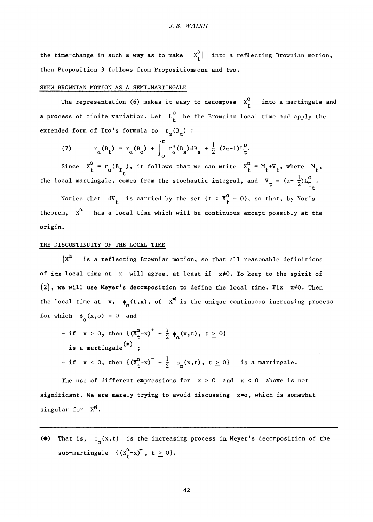the time-change in such a way as to make  $\left| \begin{matrix} x^{\alpha} \\ t \end{matrix} \right|$  into a reflecting Brownian motion, **then Proposition 3 follows from Propositions one and two.** 

## SKEW BROWNIAN MOTION AS A SEMI\_MARTINGALE

The representation (6) makes it easy to decompose  $X_t^{\alpha}$  into a martingale and **a process of finite variation.** Let  $L_t^0$  be the Brownian local time and apply the extended form of Ito's formula to  $r_\alpha(B_t)$ :

(7) 
$$
r_{\alpha}(B_t) = r_{\alpha}(B_0) + \int_0^t r_{\alpha}^{\dagger}(B_s) dB_s + \frac{1}{2} (2\alpha - 1)L_t^0.
$$

*<i>L* ows **Since X^ = r (B\_ ), it follows that we can write X^ = M +V . where M .**  the local martingale, comes from the stochastic integral, and  $V_t = (\alpha - \frac{1}{2})L_{T_t}^o$ .

**the local martingale, comes from the stochastic integral, and V = (a- ^)L° . t**  theorem,  $X^{\alpha}$  has a local time which will be continuous except possibly at the **theorem,**  $\boldsymbol{\hat{\theta}}$  and  $\boldsymbol{\hat{\theta}}$  are continuous except possible  $\boldsymbol{\hat{\theta}}$  at the  $\boldsymbol{\hat{\theta}}$  and  $\boldsymbol{\hat{\theta}}$  at the  $\boldsymbol{\hat{\theta}}$  and  $\boldsymbol{\hat{\theta}}$  are continuous except possible  $\boldsymbol{\hat{\theta}}$  and  $\boldsymbol{\hat{\theta}}$  are continuous excep

### THE DISCONTINUITY OF THE LOCAL TIME

 $|X^{\alpha}|$  is a reflecting Brownian motion, so that all reasonable definitions  $\frac{1}{2}$  is a reflection of  $\frac{1}{2}$  and  $\frac{1}{2}$  and  $\frac{1}{2}$  and  $\frac{1}{2}$  and  $\frac{1}{2}$  and  $\frac{1}{2}$  and  $\frac{1}{2}$  and  $\frac{1}{2}$  and  $\frac{1}{2}$  and  $\frac{1}{2}$  and  $\frac{1}{2}$  and  $\frac{1}{2}$  and  $\frac{1}{2}$  and  $\frac{1}{2}$   $\begin{bmatrix} 2 \end{bmatrix}$ , we will use Meyer's decomposition to define the local time. Fix  $x\neq 0$ . Then the local time at x,  $\phi_{\alpha}(t,x)$ , of  $X^{\alpha}$  is the unique continuous increasing process for which  $\phi_{\alpha}(x,0) = 0$  and

**for which** <f**>^(x,o) =** 0 **and -** if  $x > 0$ , then  $\{(X^{\text{rx}}) - \frac{1}{2} \phi_{\alpha}(x,t), t \geq 0\}$ is a martingale<sup>(\*)</sup>: **is a martingale ; -** if  $x < 0$ , then  $\left\{ (X^{\alpha}_+ - x) \right\} - \frac{1}{2} \phi_{\alpha}(x,t)$ ,  $t \ge 0$ } is a martingale.

**The use of different expressions for x >** 0 **and x <** 0 **above is not significant. We are merely trying to avoid discussing x=o, which is somewhat**  singular for  $X^{\alpha}$ .

(\*) That is,  $\phi_{\alpha}(x,t)$  is the increasing process in Meyer's decomposition of the  $\alpha_{\text{av}}$ <sup>+</sup>  $\frac{1}{2}$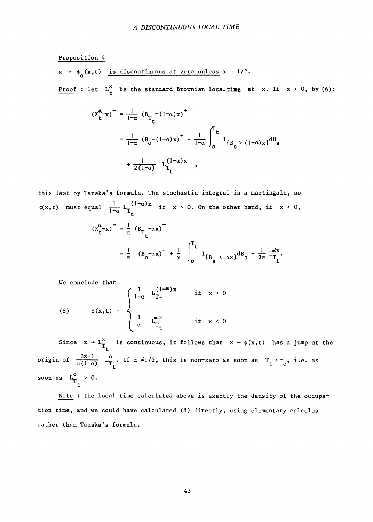## **Proposition 4**

 $x \rightarrow \phi_\alpha(x,t)$  is discontinuous at zero unless  $\alpha = 1/2$ . **Proof :** let  $L_t^X$  be the standard Brownian localtime at x. If  $x > 0$ , by (6):

$$
(x_{t}^{d}-x)^{+} = \frac{1}{1-\alpha} (B_{T_{t}} - (1-\alpha)x)^{+}
$$
  

$$
= \frac{1}{1-\alpha} (B_{0} - (1-\alpha)x)^{+} + \frac{1}{1-\alpha} \int_{0}^{T_{t}} I_{\{B_{s} > (1-\alpha)x\}} dB_{s}
$$
  

$$
+ \frac{1}{2(1-\alpha)} L_{T_{t}}^{(1-\alpha)x},
$$

**this last by Tanakafs formula. The stochastic integral is a martingale, so**   $\frac{1}{\tau}$  (1-a)x  $1-\alpha$   $T_t$   $\alpha$   $T_t$ 

$$
(x_{t}^{\alpha} - x)^{-} = \frac{1}{\alpha} (B_{T_{t}} - \alpha x)^{-}
$$
  

$$
= \frac{1}{\alpha} (B_{0} - \alpha x)^{-} + \frac{1}{\alpha} \int_{0}^{T_{t}} I_{\{B_{s} < \alpha x\}} dB_{s} + \frac{1}{2\alpha} L_{T_{t}}^{\alpha x}.
$$

**We conclude that** 

(8) 
$$
\phi(x,t) = \begin{cases} \frac{1}{1-\alpha} \cdot L_{T_t}^{(1-\alpha)x} & \text{if } x > 0 \\ \frac{1}{\alpha} \cdot L_{T_t}^{\alpha x} & \text{if } x < 0 \end{cases}
$$

Since  $x \rightarrow L_n^*$  is continuous, it follows that  $x \rightarrow \phi(x,t)$  has a jump at the **t origin of**  $\frac{2\alpha-1}{\alpha(1-\alpha)}$   $L_{T_{+}}^{0}$ . If  $\alpha \neq 1/2$ , this is non-zero as soon as  $T_{t} > T_{0}$ , i.e. as soon as  $L_{\tau}^{0} > 0$ . **t** 

**Note : the local time calculated above is exactly the density of the occupation time, and we could have calculated (8) directly, using elementary calculus rather than Tanaka's formula.**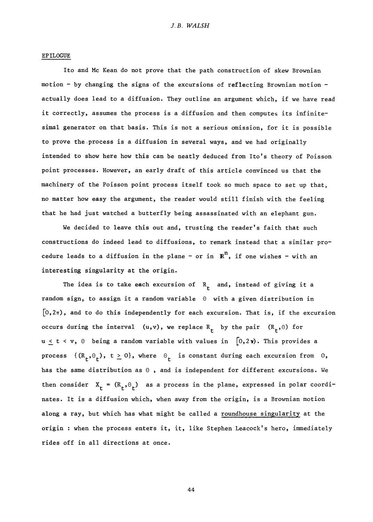#### **EPILOGUE**

**Ito and Mc Kean do not prove that the path construction of skew Brownian motion - by changing the signs of the excursions of reflecting Brownian motion actually does lead to a diffusion. They outline an argument which, if we have read it correctly, assumes the process is a diffusion and then computes its infinitesimal generator on that basis. This is not a serious omission, for it is possible to prove the.process is a diffusion in several ways, and we had originally intended to show here how this can be neatly deduced from Ito's theory of Poisson point processes. However, an early draft of this article convinced us that the machinery of the Poisson point process itself took so much space to set up that, no matter how easy the argument, the reader would still finish with the feeling that he had just watched a butterfly being assassinated with an elephant gun.** 

**We decided to leave this out and, trusting the reader's faith that such constructions do indeed lead to diffusions, to remark instead that a similar procedure leads to a diffusion in the plane - or in Rn, if one wishes - with an interesting singularity at the origin.** 

The idea is to take each excursion of  $R_+$  and, instead of giving it a **random sign, to assign it a random variable 0 with a given distribution in**  [o,2ir), **and to do this independently for each excursion. That is, if the excursion**  occurs during the interval  $(u,v)$ , we replace  $R_t$  by the pair  $(R_t,0)$  for **u**  $\leq$  **t** < **v**,  $\theta$  being a random variable with values in  $[0,2\gamma)$ . This provides a **process**  $\{(\mathbb{R}_t, \Theta_t), t \ge 0\}$ , where  $\Theta_t$  is constant during each excursion from 0, **has the same distribution as 0 , and is independent for different excursions. We**  then consider  $X<sub>f</sub> = (R<sub>f</sub>, \theta<sub>f</sub>)$  as a process in the plane, expressed in polar coordi**nates. It is a diffusion which, when away from the origin, is a Brownian motion along a ray, but which has what might be called a roundhouse singularity at the origin : when the process enters it, it, like Stephen Leacock's hero, immediately rides off in all directions at once.** 

**44**